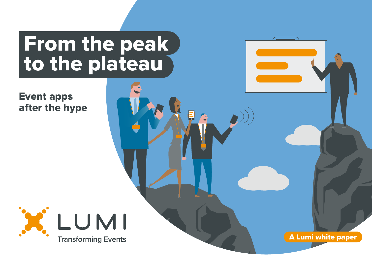# From the peak to the plateau

Event apps after the hype



A Lumi white paper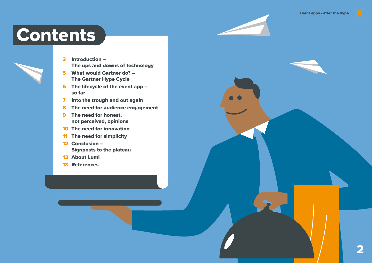### **Contents**

- 3 Introduction The ups and downs of technology
- 5 What would Gartner do? The Gartner Hype Cycle
- 6 The lifecycle of the event app so far
- 7 Into the trough and out again
- 8 The need for audience engagement
- 9 The need for honest, not perceived, opinions
- 10 The need for innovation
- 11 The need for simplicity
- 12 Conclusion Signposts to the plateau
- 13 About Lumi
- 13 References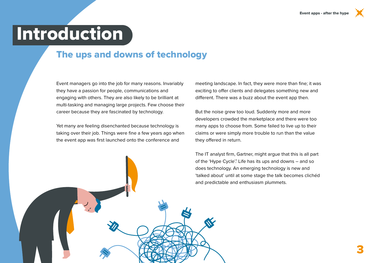## **Introduction**

#### The ups and downs of technology

Event managers go into the job for many reasons. Invariably they have a passion for people, communications and engaging with others. They are also likely to be brilliant at multi-tasking and managing large projects. Few choose their career because they are fascinated by technology.

Yet many are feeling disenchanted because technology is taking over their job. Things were fine a few years ago when the event app was first launched onto the conference and

meeting landscape. In fact, they were more than fine; it was exciting to offer clients and delegates something new and different. There was a buzz about the event app then.

But the noise grew too loud. Suddenly more and more developers crowded the marketplace and there were too many apps to choose from. Some failed to live up to their claims or were simply more trouble to run than the value they offered in return.

The IT analyst firm, Gartner, might argue that this is all part of the 'Hype Cycle'.<sup>1</sup> Life has its ups and downs – and so does technology. An emerging technology is new and 'talked about' until at some stage the talk becomes clichéd and predictable and enthusiasm plummets.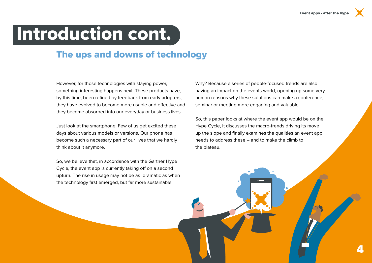## Introduction cont.

### The ups and downs of technology

However, for those technologies with staying power, something interesting happens next. These products have, by this time, been refined by feedback from early adopters, they have evolved to become more usable and effective and they become absorbed into our everyday or business lives.

Just look at the smartphone. Few of us get excited these days about various models or versions. Our phone has become such a necessary part of our lives that we hardly think about it anymore.

So, we believe that, in accordance with the Gartner Hype Cycle, the event app is currently taking off on a second upturn. The rise in usage may not be as dramatic as when the technology first emerged, but far more sustainable.

Why? Because a series of people-focused trends are also having an impact on the events world, opening up some very human reasons why these solutions can make a conference, seminar or meeting more engaging and valuable.

So, this paper looks at where the event app would be on the Hype Cycle, it discusses the macro-trends driving its move up the slope and finally examines the qualities an event app needs to address these – and to make the climb to the plateau.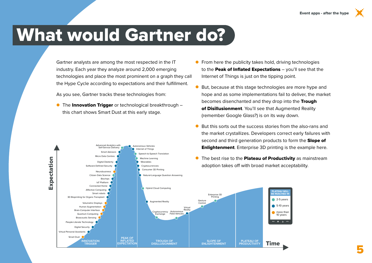### What would Gartner do?

Gartner analysts are among the most respected in the IT industry. Each year they analyze around 2,000 emerging technologies and place the most prominent on a graph they call the Hype Cycle according to expectations and their fulfillment.

As you see, Gartner tracks these technologies from:

Advanced Analytics with Self-Service Delivery

Micro Data Centres Digital Dexterity Software-Defined Security

Smart Advisors

● The Innovation Trigger or technological breakthrough – this chart shows Smart Dust at this early stage.

> Autonomous Vehicles Internet of Things

> > Speech-to-Speech Translation Machine Learning Wearables Cryptocurrencies



- But, because at this stage technologies are more hype and hope and as some implementations fail to deliver, the market becomes disenchanted and they drop into the Trough of Disillusionment. You'll see that Augmented Reality (remember Google Glass?) is on its way down.
- But this sorts out the success stories from the also-rans and the market crystallizes. Developers correct early failures with second and third generation products to form the **Slope of Enlightenment**. Enterprise 3D printing is the example here.
- **•** The best rise to the **Plateau of Productivity** as mainstream adoption takes off with broad market acceptability.

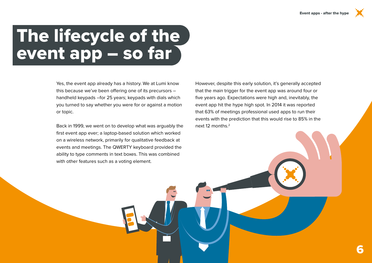# The lifecycle of the event app – so far

Yes, the event app already has a history. We at Lumi know this because we've been offering one of its precursors – handheld keypads –for 25 years; keypads with dials which you turned to say whether you were for or against a motion or topic.

Back in 1999, we went on to develop what was arguably the first event app ever; a laptop-based solution which worked on a wireless network, primarily for qualitative feedback at events and meetings. The QWERTY keyboard provided the ability to type comments in text boxes. This was combined with other features such as a voting element.

However, despite this early solution, it's generally accepted that the main trigger for the event app was around four or five years ago. Expectations were high and, inevitably, the event app hit the hype high spot. In 2014 it was reported that 63% of meetings professional used apps to run their events with the prediction that this would rise to 85% in the next 12 months.<sup>2</sup>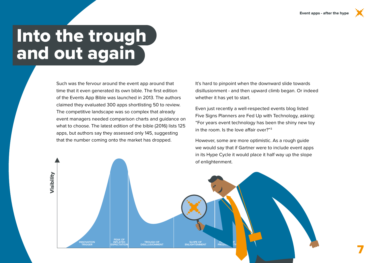## Into the trough and out again

**INNOVATION TRIGGER**

Visibility

Such was the fervour around the event app around that time that it even generated its own bible. The first edition of the Events App Bible was launched in 2013. The authors claimed they evaluated 300 apps shortlisting 50 to review. The competitive landscape was so complex that already event managers needed comparison charts and guidance on what to choose. The latest edition of the bible (2016) lists 125 apps, but authors say they assessed only 145, suggesting that the number coming onto the market has dropped.

**PEAK OF<br>INFLATED**<br>XPECTATIC

**INFLATED INFLATED INFLATED**<br> **INFLATED**<br> **ENLIGHTENMENT**<br> **ENLIGHTENMENT** 

**PROD** 

It's hard to pinpoint when the downward slide towards disillusionment - and then upward climb began. Or indeed whether it has yet to start.

Even just recently a well-respected events blog listed Five Signs Planners are Fed Up with Technology, asking: "For years event technology has been the shiny new toy in the room. Is the love affair over?"3

However, some are more optimistic. As a rough guide we would say that if Gartner were to include event apps in its Hype Cycle it would place it half way up the slope of enlightenment.

Time 7 and 7 and 7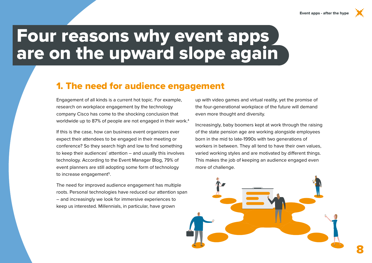### Four reasons why event apps are on the upward slope again

#### 1. The need for audience engagement

Engagement of all kinds is a current hot topic. For example, research on workplace engagement by the technology company Cisco has come to the shocking conclusion that worldwide up to 87% of people are not engaged in their work.<sup>4</sup>

If this is the case, how can business event organizers ever expect their attendees to be engaged in their meeting or conference? So they search high and low to find something to keep their audiences' attention – and usually this involves technology. According to the Event Manager Blog, 79% of event planners are still adopting some form of technology to increase engagement<sup>5</sup>.

The need for improved audience engagement has multiple roots. Personal technologies have reduced our attention span – and increasingly we look for immersive experiences to keep us interested. Millennials, in particular, have grown

up with video games and virtual reality, yet the promise of the four-generational workplace of the future will demand even more thought and diversity.

Increasingly, baby boomers kept at work through the raising of the state pension age are working alongside employees born in the mid to late-1990s with two generations of workers in between. They all tend to have their own values, varied working styles and are motivated by different things. This makes the job of keeping an audience engaged even more of challenge.

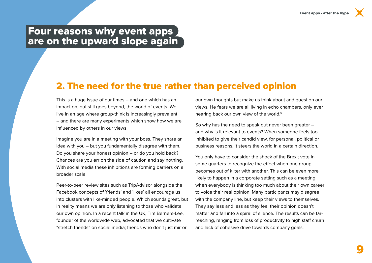#### Four reasons why event apps are on the upward slope again

#### 2. The need for the true rather than perceived opinion

This is a huge issue of our times – and one which has an impact on, but still goes beyond, the world of events. We live in an age where group-think is increasingly prevalent – and there are many experiments which show how we are influenced by others in our views.

Imagine you are in a meeting with your boss. They share an idea with you – but you fundamentally disagree with them. Do you share your honest opinion – or do you hold back? Chances are you err on the side of caution and say nothing. With social media these inhibitions are forming barriers on a broader scale.

Peer-to-peer review sites such as TripAdvisor alongside the Facebook concepts of 'friends' and 'likes' all encourage us into clusters with like-minded people. Which sounds great, but in reality means we are only listening to those who validate our own opinion. In a recent talk in the UK, Tim Berners-Lee, founder of the worldwide web, advocated that we cultivate "stretch friends" on social media; friends who don't just mirror

our own thoughts but make us think about and question our views. He fears we are all living in echo chambers, only ever hearing back our own view of the world.<sup>6</sup>

So why has the need to speak out never been greater – and why is it relevant to events? When someone feels too inhibited to give their candid view, for personal, political or business reasons, it steers the world in a certain direction.

You only have to consider the shock of the Brexit vote in some quarters to recognize the effect when one group becomes out of kilter with another. This can be even more likely to happen in a corporate setting such as a meeting when everybody is thinking too much about their own career to voice their real opinion. Many participants may disagree with the company line, but keep their views to themselves. They say less and less as they feel their opinion doesn't matter and fall into a spiral of silence. The results can be farreaching, ranging from loss of productivity to high staff churn and lack of cohesive drive towards company goals.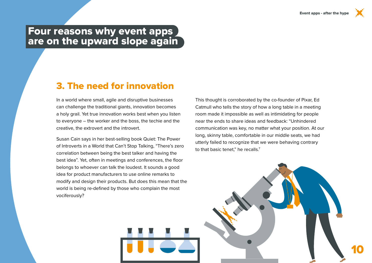#### Four reasons why event apps are on the upward slope again

#### 3. The need for innovation

In a world where small, agile and disruptive businesses can challenge the traditional giants, innovation becomes a holy grail. Yet true innovation works best when you listen to everyone – the worker and the boss, the techie and the creative, the extrovert and the introvert.

Susan Cain says in her best-selling book Quiet: The Power of Introverts in a World that Can't Stop Talking, "There's zero correlation between being the best talker and having the best idea". Yet, often in meetings and conferences, the floor belongs to whoever can talk the loudest. It sounds a good idea for product manufacturers to use online remarks to modify and design their products. But does this mean that the world is being re-defined by those who complain the most vociferously?

This thought is corroborated by the co-founder of Pixar, Ed Catmull who tells the story of how a long table in a meeting room made it impossible as well as intimidating for people near the ends to share ideas and feedback: "Unhindered communication was key, no matter what your position. At our long, skinny table, comfortable in our middle seats, we had utterly failed to recognize that we were behaving contrary to that basic tenet," he recalls.7

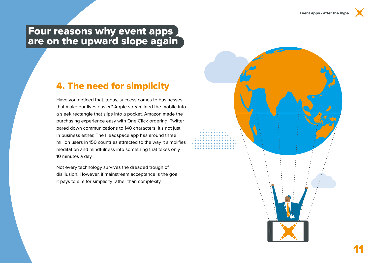#### Four reasons why event apps are on the upward slope again

### 4. The need for simplicity

Have you noticed that, today, success comes to businesses that make our lives easier? Apple streamlined the mobile into a sleek rectangle that slips into a pocket. Amazon made the purchasing experience easy with One Click ordering. Twitter pared down communications to 140 characters. It's not just in business either. The Headspace app has around three million users in 150 countries attracted to the way it simplifies meditation and mindfulness into something that takes only 10 minutes a day.

Not every technology survives the dreaded trough of disillusion. However, if mainstream acceptance is the goal, it pays to aim for simplicity rather than complexity.

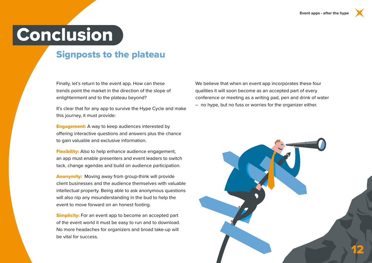# **Conclusion**

### Signposts to the plateau

Finally, let's return to the event app. How can these trends point the market in the direction of the slope of enlightenment and to the plateau beyond?

It's clear that for any app to survive the Hype Cycle and make this journey, it must provide:

**Engagement:** A way to keep audiences interested by offering interactive questions and answers plus the chance to gain valuable and exclusive information.

**Flexibility:** Also to help enhance audience engagement, an app must enable presenters and event leaders to switch tack, change agendas and build on audience participation.

Anonymity: Moving away from group-think will provide client businesses and the audience themselves with valuable intellectual property. Being able to ask anonymous questions will also nip any misunderstanding in the bud to help the event to move forward on an honest footing.

**Simplicity:** For an event app to become an accepted part of the event world it must be easy to run and to download. No more headaches for organizers and broad take-up will be vital for success.

We believe that when an event app incorporates these four qualities it will soon become as an accepted part of every conference or meeting as a writing pad, pen and drink of water – no hype, but no fuss or worries for the organizer either.